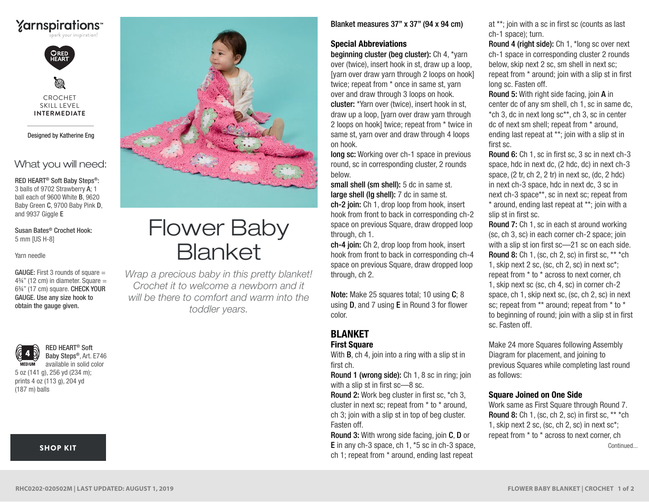



Ø CROCHET SKILL LEVEL **INTERMEDIATE**

#### Designed by Katherine Eng

## What you will need:

RED HEART® Soft Baby Steps®: 3 balls of 9702 Strawberry A; 1 ball each of 9600 White B, 9620 Baby Green C, 9700 Baby Pink D, and 9937 Giggle E

Susan Bates® Crochet Hook: 5 mm [US H-8]

Yarn needle

 $4\frac{3}{4}$ " (12 cm) in diameter. Square = 6¾" (17 cm) square. CHECK YOUR GAUGE. Use any size hook to obtain the gauge given.  $GAUGE: First 3 rounds of square =$ 



(187 m) balls

RED HEART® Soft Baby Steps®, Art. E746 available in solid color 5 oz (141 g), 256 yd (234 m); prints 4 oz (113 g), 204 yd

## [SHOP KIT](https://www.yarnspirations.com/red-heart-flower-baby-blanket/RHC0202-020502M.html#utm_source=pdf-yarnspirations&utm_medium=referral&utm_campaign=pdf-RHC0202-020502M)



# Flower Baby Blanket

*Wrap a precious baby in this pretty blanket! Crochet it to welcome a newborn and it will be there to comfort and warm into the toddler years.*

#### Blanket measures 37" x 37" (94 x 94 cm)

### Special Abbreviations

beginning cluster (beg cluster): Ch 4, \*yarn over (twice), insert hook in st, draw up a loop, [yarn over draw yarn through 2 loops on hook] twice; repeat from \* once in same st, yarn over and draw through 3 loops on hook. cluster: \*Yarn over (twice), insert hook in st, draw up a loop, [yarn over draw yarn through 2 loops on hook] twice; repeat from \* twice in same st, yarn over and draw through 4 loops on hook.

long sc: Working over ch-1 space in previous round, sc in corresponding cluster, 2 rounds below.

small shell (sm shell): 5 dc in same st. large shell (lg shell): 7 dc in same st.

ch-2 join: Ch 1, drop loop from hook, insert hook from front to back in corresponding ch-2 space on previous Square, draw dropped loop through, ch 1.

ch-4 join: Ch 2, drop loop from hook, insert hook from front to back in corresponding ch-4 space on previous Square, draw dropped loop through, ch 2.

Note: Make 25 squares total; 10 using C; 8 using D, and 7 using E in Round 3 for flower color.

## BLANKET

## First Square

With **B**, ch 4, join into a ring with a slip st in first ch.

Round 1 (wrong side): Ch 1, 8 sc in ring; join with a slip st in first sc—8 sc.

Round 2: Work beg cluster in first sc, \*ch 3, cluster in next sc; repeat from \* to \* around, ch 3; join with a slip st in top of beg cluster. Fasten off.

Round 3: With wrong side facing, join C, D or E in any ch-3 space, ch 1, \*5 sc in ch-3 space, ch 1; repeat from \* around, ending last repeat

at \*\*; join with a sc in first sc (counts as last ch-1 space); turn.

Round 4 (right side): Ch 1, \*long sc over next ch-1 space in corresponding cluster 2 rounds below, skip next 2 sc, sm shell in next sc; repeat from \* around; join with a slip st in first long sc. Fasten off.

Round 5: With right side facing, join A in center dc of any sm shell, ch 1, sc in same dc, \*ch 3, dc in next long sc\*\*, ch 3, sc in center dc of next sm shell; repeat from \* around, ending last repeat at \*\*; join with a slip st in first sc.

Round 6: Ch 1, sc in first sc, 3 sc in next ch-3 space, hdc in next dc, (2 hdc, dc) in next ch-3 space, (2 tr, ch 2, 2 tr) in next sc, (dc, 2 hdc) in next ch-3 space, hdc in next dc, 3 sc in next ch-3 space\*\*, sc in next sc; repeat from \* around, ending last repeat at \*\*; join with a slip st in first sc.

Round 7: Ch 1, sc in each st around working (sc, ch 3, sc) in each corner ch-2 space; join with a slip st ion first sc—21 sc on each side. Round 8: Ch 1, (sc, ch 2, sc) in first sc, \*\* \*ch 1, skip next 2 sc, (sc, ch 2, sc) in next sc\*; repeat from \* to \* across to next corner, ch 1, skip next sc (sc, ch 4, sc) in corner ch-2 space, ch 1, skip next sc, (sc, ch 2, sc) in next sc; repeat from \*\* around; repeat from \* to \* to beginning of round; join with a slip st in first sc. Fasten off.

Make 24 more Squares following Assembly Diagram for placement, and joining to previous Squares while completing last round as follows:

#### Square Joined on One Side

Work same as First Square through Round 7. Round 8: Ch 1, (sc, ch 2, sc) in first sc, \*\* \*ch 1, skip next 2 sc, (sc, ch 2, sc) in next sc\*; repeat from \* to \* across to next corner, ch Continued...